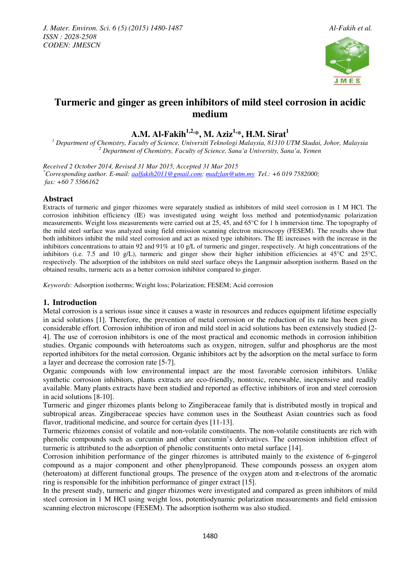

# **Turmeric and ginger as green inhibitors of mild steel corrosion in acidic medium**

**A.M. Al-Fakih1,2,\*, M. Aziz1,\*, H.M. Sirat<sup>1</sup>**

*1 Department of Chemistry, Faculty of Science, Universiti Teknologi Malaysia, 81310 UTM Skudai, Johor, Malaysia 2 Department of Chemistry, Faculty of Science, Sana'a University, Sana'a, Yemen* 

*Received 2 October 2014, Revised 31 Mar 2015, Accepted 31 Mar 2015 \*Corresponding author. E-mail: aalfakih2011@gmail.com; madzlan@utm.my Tel.: +6 019 7582000; fax: +60 7 5566162* 

# **Abstract**

Extracts of turmeric and ginger rhizomes were separately studied as inhibitors of mild steel corrosion in 1 M HCl. The corrosion inhibition efficiency (IE) was investigated using weight loss method and potentiodynamic polarization measurements. Weight loss measurements were carried out at 25, 45, and 65°C for 1 h immersion time. The topography of the mild steel surface was analyzed using field emission scanning electron microscopy (FESEM). The results show that both inhibitors inhibit the mild steel corrosion and act as mixed type inhibitors. The IE increases with the increase in the inhibitors concentrations to attain 92 and 91% at 10 g/L of turmeric and ginger, respectively. At high concentrations of the inhibitors (i.e. 7.5 and 10 g/L), turmeric and ginger show their higher inhibition efficiencies at 45°C and 25°C, respectively. The adsorption of the inhibitors on mild steel surface obeys the Langmuir adsorption isotherm. Based on the obtained results, turmeric acts as a better corrosion inhibitor compared to ginger.

*Keywords*: Adsorption isotherms; Weight loss; Polarization; FESEM; Acid corrosion

# **1. Introduction**

Metal corrosion is a serious issue since it causes a waste in resources and reduces equipment lifetime especially in acid solutions [1]. Therefore, the prevention of metal corrosion or the reduction of its rate has been given considerable effort. Corrosion inhibition of iron and mild steel in acid solutions has been extensively studied [2- 4]. The use of corrosion inhibitors is one of the most practical and economic methods in corrosion inhibition studies. Organic compounds with heteroatoms such as oxygen, nitrogen, sulfur and phosphorus are the most reported inhibitors for the metal corrosion. Organic inhibitors act by the adsorption on the metal surface to form a layer and decrease the corrosion rate [5-7].

Organic compounds with low environmental impact are the most favorable corrosion inhibitors. Unlike synthetic corrosion inhibitors, plants extracts are eco-friendly, nontoxic, renewable, inexpensive and readily available. Many plants extracts have been studied and reported as effective inhibitors of iron and steel corrosion in acid solutions [8-10].

Turmeric and ginger rhizomes plants belong to Zingiberaceae family that is distributed mostly in tropical and subtropical areas. Zingiberaceae species have common uses in the Southeast Asian countries such as food flavor, traditional medicine, and source for certain dyes [11-13].

Turmeric rhizomes consist of volatile and non-volatile constituents. The non-volatile constituents are rich with phenolic compounds such as curcumin and other curcumin's derivatives. The corrosion inhibition effect of turmeric is attributed to the adsorption of phenolic constituents onto metal surface [14].

Corrosion inhibition performance of the ginger rhizomes is attributed mainly to the existence of 6-gingerol compound as a major component and other phenylpropanoid. These compounds possess an oxygen atom (heteroatom) at different functional groups. The presence of the oxygen atom and  $\pi$ -electrons of the aromatic ring is responsible for the inhibition performance of ginger extract [15].

In the present study, turmeric and ginger rhizomes were investigated and compared as green inhibitors of mild steel corrosion in 1 M HCl using weight loss, potentiodynamic polarization measurements and field emission scanning electron microscope (FESEM). The adsorption isotherm was also studied.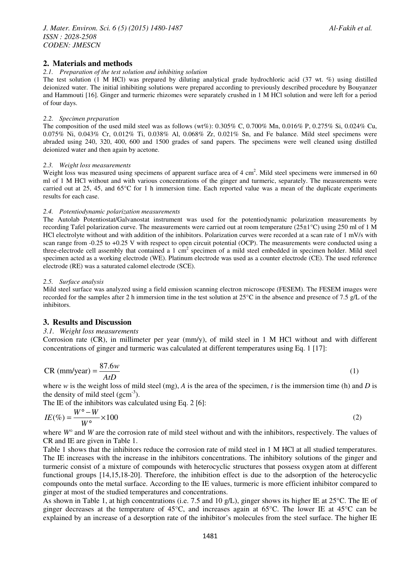# **2. Materials and methods**

#### *2.1. Preparation of the test solution and inhibiting solution*

The test solution (1 M HCl) was prepared by diluting analytical grade hydrochloric acid (37 wt. %) using distilled deionized water. The initial inhibiting solutions were prepared according to previously described procedure by Bouyanzer and Hammouti [16]. Ginger and turmeric rhizomes were separately crushed in 1 M HCl solution and were left for a period of four days.

#### *2.2. Specimen preparation*

The composition of the used mild steel was as follows (wt%): 0.305% C, 0.700% Mn, 0.016% P, 0.275% Si, 0.024% Cu, 0.075% Ni, 0.043% Cr, 0.012% Ti, 0.038% Al, 0.068% Zr, 0.021% Sn, and Fe balance. Mild steel specimens were abraded using 240, 320, 400, 600 and 1500 grades of sand papers. The specimens were well cleaned using distilled deionized water and then again by acetone.

#### *2.3. Weight loss measurements*

Weight loss was measured using specimens of apparent surface area of  $4 \text{ cm}^2$ . Mild steel specimens were immersed in 60 ml of 1 M HCl without and with various concentrations of the ginger and turmeric, separately. The measurements were carried out at 25, 45, and 65°C for 1 h immersion time. Each reported value was a mean of the duplicate experiments results for each case.

#### *2.4. Potentiodynamic polarization measurements*

The Autolab Potentiostat/Galvanostat instrument was used for the potentiodynamic polarization measurements by recording Tafel polarization curve. The measurements were carried out at room temperature ( $25\pm1\degree C$ ) using 250 ml of 1 M HCl electrolyte without and with addition of the inhibitors. Polarization curves were recorded at a scan rate of 1 mV/s with scan range from -0.25 to +0.25 V with respect to open circuit potential (OCP). The measurements were conducted using a three-electrode cell assembly that contained a 1 cm<sup>2</sup> specimen of a mild steel embedded in specimen holder. Mild steel specimen acted as a working electrode (WE). Platinum electrode was used as a counter electrode (CE). The used reference electrode (RE) was a saturated calomel electrode (SCE).

#### *2.5. Surface analysis*

Mild steel surface was analyzed using a field emission scanning electron microscope (FESEM). The FESEM images were recorded for the samples after 2 h immersion time in the test solution at 25°C in the absence and presence of 7.5 g/L of the inhibitors.

#### **3. Results and Discussion**

#### *3.1. Weight loss measurements*

Corrosion rate (CR), in millimeter per year (mm/y), of mild steel in 1 M HCl without and with different concentrations of ginger and turmeric was calculated at different temperatures using Eq. 1 [17]:

$$
CR (mm/year) = \frac{87.6w}{AtD}
$$
 (1)

where *w* is the weight loss of mild steel (mg), *A* is the area of the specimen, *t* is the immersion time (h) and *D* is the density of mild steel  $(gcm^{-3})$ .

The IE of the inhibitors was calculated using Eq. 2 [6]:

$$
IE(\%) = \frac{W^{\circ} - W}{W^{\circ}} \times 100
$$
 (2)

where *W*° and *W* are the corrosion rate of mild steel without and with the inhibitors, respectively. The values of CR and IE are given in Table 1.

Table 1 shows that the inhibitors reduce the corrosion rate of mild steel in 1 M HCl at all studied temperatures. The IE increases with the increase in the inhibitors concentrations. The inhibitory solutions of the ginger and turmeric consist of a mixture of compounds with heterocyclic structures that possess oxygen atom at different functional groups [14,15,18-20]. Therefore, the inhibition effect is due to the adsorption of the heterocyclic compounds onto the metal surface. According to the IE values, turmeric is more efficient inhibitor compared to ginger at most of the studied temperatures and concentrations.

As shown in Table 1, at high concentrations (i.e. 7.5 and 10 g/L), ginger shows its higher IE at 25°C. The IE of ginger decreases at the temperature of 45°C, and increases again at 65°C. The lower IE at 45°C can be explained by an increase of a desorption rate of the inhibitor's molecules from the steel surface. The higher IE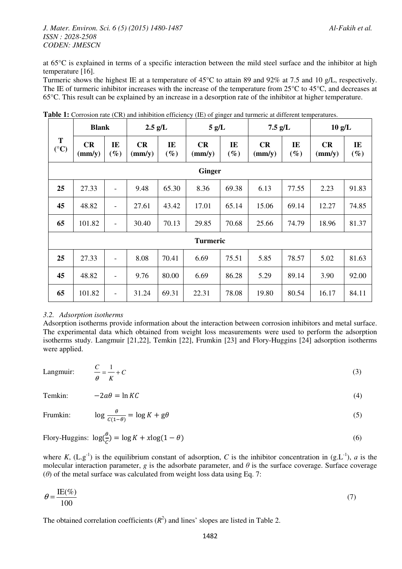# *J. Mater. Environ. Sci. 6 (5) (2015) 1480-1487 Al-Fakih et al. ISSN : 2028-2508 CODEN: JMESCN*

at 65°C is explained in terms of a specific interaction between the mild steel surface and the inhibitor at high temperature [16].

Turmeric shows the highest IE at a temperature of 45°C to attain 89 and 92% at 7.5 and 10 g/L, respectively. The IE of turmeric inhibitor increases with the increase of the temperature from 25°C to 45°C, and decreases at 65°C. This result can be explained by an increase in a desorption rate of the inhibitor at higher temperature.

|                      | <b>Blank</b>          |                          | $2.5$ g/L             |              | 5 g/L                 |              | $7.5$ g/L             |              | $10 \text{ g/L}$      |              |
|----------------------|-----------------------|--------------------------|-----------------------|--------------|-----------------------|--------------|-----------------------|--------------|-----------------------|--------------|
| T<br>$({}^{\circ}C)$ | CR<br>$\text{(mm/y)}$ | IE<br>$(\%)$             | CR<br>$\text{(mm/y)}$ | IE<br>$(\%)$ | CR<br>$\text{(mm/y)}$ | IE<br>$(\%)$ | CR<br>$\text{(mm/y)}$ | IE<br>$(\%)$ | CR<br>$\text{(mm/y)}$ | IE<br>$(\%)$ |
|                      | <b>Ginger</b>         |                          |                       |              |                       |              |                       |              |                       |              |
| 25                   | 27.33                 | $\overline{\phantom{a}}$ | 9.48                  | 65.30        | 8.36                  | 69.38        | 6.13                  | 77.55        | 2.23                  | 91.83        |
| 45                   | 48.82                 | $\overline{\phantom{a}}$ | 27.61                 | 43.42        | 17.01                 | 65.14        | 15.06                 | 69.14        | 12.27                 | 74.85        |
| 65                   | 101.82                | $\overline{\phantom{a}}$ | 30.40                 | 70.13        | 29.85                 | 70.68        | 25.66                 | 74.79        | 18.96                 | 81.37        |
|                      | <b>Turmeric</b>       |                          |                       |              |                       |              |                       |              |                       |              |
| 25                   | 27.33                 |                          | 8.08                  | 70.41        | 6.69                  | 75.51        | 5.85                  | 78.57        | 5.02                  | 81.63        |
| 45                   | 48.82                 |                          | 9.76                  | 80.00        | 6.69                  | 86.28        | 5.29                  | 89.14        | 3.90                  | 92.00        |
| 65                   | 101.82                | $\overline{\phantom{a}}$ | 31.24                 | 69.31        | 22.31                 | 78.08        | 19.80                 | 80.54        | 16.17                 | 84.11        |

**Table 1:** Corrosion rate (CR) and inhibition efficiency (IE) of ginger and turmeric at different temperatures.

# *3.2. Adsorption isotherms*

Adsorption isotherms provide information about the interaction between corrosion inhibitors and metal surface. The experimental data which obtained from weight loss measurements were used to perform the adsorption isotherms study. Langmuir [21,22], Temkin [22], Frumkin [23] and Flory-Huggins [24] adsorption isotherms were applied.

Langmuir:  $\frac{C}{C} = \frac{1}{C} + C$ <sup>θ</sup> *K*  $=- + C$  (3)

Temkin:  $-2a\theta = \ln KC$  (4)

$$
\text{Frumkin:} \qquad \log \frac{\theta}{c(1-\theta)} = \log K + g\theta \tag{5}
$$

# Flory-Huggins:  $\log(\frac{\theta}{c}) = \log K + x \log(1 - \theta)$  (6)

where *K*,  $(L.g^{-1})$  is the equilibrium constant of adsorption, *C* is the inhibitor concentration in  $(g.L^{-1})$ , *a* is the molecular interaction parameter, *g* is the adsorbate parameter, and  $\theta$  is the surface coverage. Surface coverage (*θ*) of the metal surface was calculated from weight loss data using Eq. 7:

$$
\theta = \frac{\text{IE}(\%)}{100} \tag{7}
$$

The obtained correlation coefficients  $(R^2)$  and lines' slopes are listed in Table 2.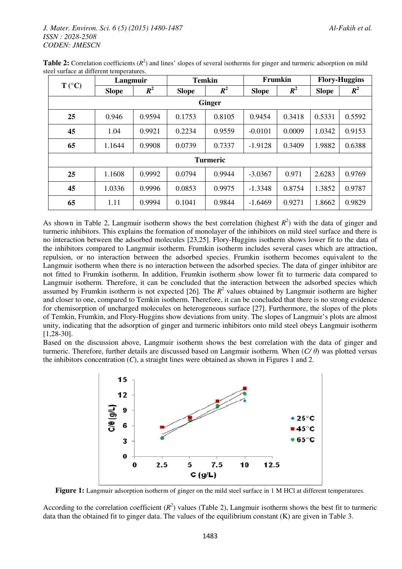|                 | Langmuir     |        | <b>Temkin</b> |                    | Frumkin      |        | <b>Flory-Huggins</b> |        |  |
|-----------------|--------------|--------|---------------|--------------------|--------------|--------|----------------------|--------|--|
| $T (^{\circ}C)$ | <b>Slope</b> | $R^2$  | <b>Slope</b>  | $\boldsymbol{R^2}$ | <b>Slope</b> | $R^2$  | <b>Slope</b>         | $R^2$  |  |
| <b>Ginger</b>   |              |        |               |                    |              |        |                      |        |  |
| 25              | 0.946        | 0.9594 | 0.1753        | 0.8105             | 0.9454       | 0.3418 | 0.5331               | 0.5592 |  |
| 45              | 1.04         | 0.9921 | 0.2234        | 0.9559             | $-0.0101$    | 0.0009 | 1.0342               | 0.9153 |  |
| 65              | 1.1644       | 0.9908 | 0.0739        | 0.7337             | $-1.9128$    | 0.3409 | 1.9882               | 0.6388 |  |
| <b>Turmeric</b> |              |        |               |                    |              |        |                      |        |  |
| 25              | 1.1608       | 0.9992 | 0.0794        | 0.9944             | $-3.0367$    | 0.971  | 2.6283               | 0.9769 |  |
| 45              | 1.0336       | 0.9996 | 0.0853        | 0.9975             | $-1.3348$    | 0.8754 | 1.3852               | 0.9787 |  |
| 65              | 1.11         | 0.9994 | 0.1041        | 0.9844             | $-1.6469$    | 0.9271 | 1.8662               | 0.9829 |  |

**Table 2:** Correlation coefficients  $(R^2)$  and lines' slopes of several isotherms for ginger and turmeric adsorption on mild steel surface at different temperatures.

As shown in Table 2, Langmuir isotherm shows the best correlation (highest  $R^2$ ) with the data of ginger and turmeric inhibitors. This explains the formation of monolayer of the inhibitors on mild steel surface and there is no interaction between the adsorbed molecules [23,25]. Flory-Huggins isotherm shows lower fit to the data of the inhibitors compared to Langmuir isotherm. Frumkin isotherm includes several cases which are attraction, repulsion, or no interaction between the adsorbed species. Frumkin isotherm becomes equivalent to the Langmuir isotherm when there is no interaction between the adsorbed species. The data of ginger inhibitor are not fitted to Frumkin isotherm. In addition, Frumkin isotherm show lower fit to turmeric data compared to Langmuir isotherm. Therefore, it can be concluded that the interaction between the adsorbed species which assumed by Frumkin isotherm is not expected [26]. The  $R<sup>2</sup>$  values obtained by Langmuir isotherm are higher and closer to one, compared to Temkin isotherm. Therefore, it can be concluded that there is no strong evidence for chemisorption of uncharged molecules on heterogeneous surface [27]. Furthermore, the slopes of the plots of Temkin, Frumkin, and Flory-Huggins show deviations from unity. The slopes of Langmuir's plots are almost unity, indicating that the adsorption of ginger and turmeric inhibitors onto mild steel obeys Langmuir isotherm [1,28-30].

Based on the discussion above, Langmuir isotherm shows the best correlation with the data of ginger and turmeric. Therefore, further details are discussed based on Langmuir isotherm. When (*C/ θ*) was plotted versus the inhibitors concentration  $(C)$ , a straight lines were obtained as shown in Figures 1 and 2.



**Figure 1:** Langmuir adsorption isotherm of ginger on the mild steel surface in 1 M HCl at different temperatures.

According to the correlation coefficient  $(R^2)$  values (Table 2), Langmuir isotherm shows the best fit to turmeric data than the obtained fit to ginger data. The values of the equilibrium constant (K) are given in Table 3.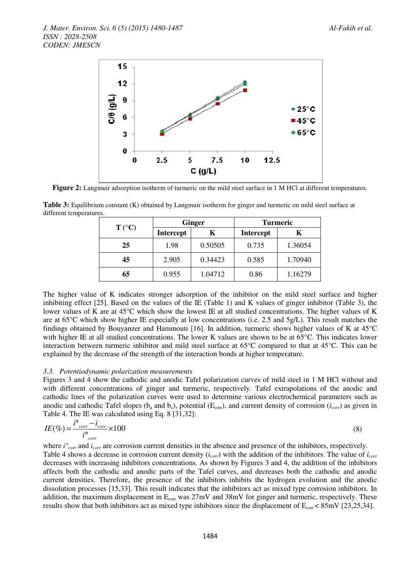

**Figure 2:** Langmuir adsorption isotherm of turmeric on the mild steel surface in 1 M HCl at different temperatures.

|                 |                  | <b>Ginger</b>    | <b>Turmeric</b> |         |  |
|-----------------|------------------|------------------|-----------------|---------|--|
| $T (^{\circ}C)$ | <b>Intercept</b> | <b>Intercept</b> |                 |         |  |
| 25              | 1.98             | 0.50505          | 0.735           | 1.36054 |  |
| 45              | 2.905            | 0.34423          | 0.585           | 1.70940 |  |
| 65              | 0.955            | 1.04712          | 0.86            | 1.16279 |  |

**Table 3:** Equilibrium constant (K) obtained by Langmuir isotherm for ginger and turmeric on mild steel surface at different temperatures.

The higher value of K indicates stronger adsorption of the inhibitor on the mild steel surface and higher inhibiting effect [25]. Based on the values of the IE (Table 1) and K values of ginger inhibitor (Table 3), the lower values of K are at 45°C which show the lowest IE at all studied concentrations. The higher values of K are at 65°C which show higher IE especially at low concentrations (i.e. 2.5 and 5g/L). This result matches the findings obtained by Bouyanzer and Hammouti [16]. In addition, turmeric shows higher values of K at 45°C with higher IE at all studied concentrations. The lower K values are shown to be at 65<sup>o</sup>C. This indicates lower interaction between turmeric inhibitor and mild steel surface at 65°C compared to that at 45°C. This can be explained by the decrease of the strength of the interaction bonds at higher temperature.

#### *3.3. Potentiodynamic polarization measurements*

Figures 3 and 4 show the cathodic and anodic Tafel polarization curves of mild steel in 1 M HCl without and with different concentrations of ginger and turmeric, respectively. Tafel extrapolations of the anodic and cathodic lines of the polarization curves were used to determine various electrochemical parameters such as anodic and cathodic Tafel slopes ( $b_a$  and  $b_c$ ), potential ( $E_{corr}$ ), and current density of corrosion ( $i_{corr}$ ) as given in Table 4. The IE was calculated using Eq. 8 [31,32]:

$$
IE(\%) = \frac{i^{\circ}_{corr} - i_{corr}}{i^{\circ}_{corr}} \times 100
$$
\n(8)

where *i°corr* and *icorr* are corrosion current densities in the absence and presence of the inhibitors, respectively. Table 4 shows a decrease in corrosion current density (*icorr*) with the addition of the inhibitors. The value of *icorr* decreases with increasing inhibitors concentrations. As shown by Figures 3 and 4, the addition of the inhibitors affects both the cathodic and anodic parts of the Tafel curves, and decreases both the cathodic and anodic current densities. Therefore, the presence of the inhibitors inhibits the hydrogen evolution and the anodic dissolution processes [15,33]. This result indicates that the inhibitors act as mixed type corrosion inhibitors. In addition, the maximum displacement in  $E_{\text{corr}}$  was  $27 \text{mV}$  and  $38 \text{mV}$  for ginger and turmeric, respectively. These results show that both inhibitors act as mixed type inhibitors since the displacement of  $E_{\text{corr}}$  < 85mV [23,25,34].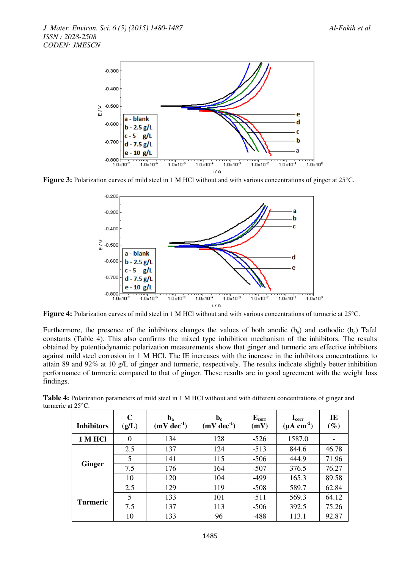

**Figure 3:** Polarization curves of mild steel in 1 M HCl without and with various concentrations of ginger at 25<sup>o</sup>C.



Figure 4: Polarization curves of mild steel in 1 M HCl without and with various concentrations of turmeric at 25°C.

Furthermore, the presence of the inhibitors changes the values of both anodic (b<sub>a</sub>) and cathodic (b<sub>c</sub>) Tafel constants (Table 4). This also confirms the mixed type inhibition mechanism of the inhibitors. The results obtained by potentiodynamic polarization measurements show that ginger and turmeric are effective inhibitors against mild steel corrosion in 1 M HCl. The IE increases with the increase in the inhibitors concentrations to attain 89 and 92% at 10 g/L of ginger and turmeric, respectively. The results indicate slightly better inhibition performance of turmeric compared to that of ginger. These results are in good agreement with the weight loss findings.

| <b>Inhibitors</b> | $\mathbf C$<br>(g/L) | $\mathbf{b}_\mathbf{a}$<br>$(mV dec-1)$ | $\mathbf{b}_{\rm c}$<br>$(mV dec-1)$ | $E_{corr}$<br>(mV) | $\mathbf{I}_{\rm corr}$<br>$(\mu A \text{ cm}^{-2})$ | IE<br>$(\%)$ |
|-------------------|----------------------|-----------------------------------------|--------------------------------------|--------------------|------------------------------------------------------|--------------|
| 1 M HCl           | $\theta$             | 134                                     | 128                                  | $-526$             | 1587.0                                               |              |
|                   | 2.5                  | 137                                     | 124                                  | $-513$             | 844.6                                                | 46.78        |
|                   | 5                    | 141                                     | 115                                  | $-506$             | 444.9                                                | 71.96        |
| <b>Ginger</b>     | 7.5                  | 176                                     | 164                                  | $-507$             | 376.5                                                | 76.27        |
|                   | 10                   | 120                                     | 104                                  | $-499$             | 165.3                                                | 89.58        |
|                   | 2.5                  | 129                                     | 119                                  | $-508$             | 589.7                                                | 62.84        |
| <b>Turmeric</b>   | 5                    | 133                                     | 101                                  | $-511$             | 569.3                                                | 64.12        |
|                   | 7.5                  | 137                                     | 113                                  | $-506$             | 392.5                                                | 75.26        |
|                   | 10                   | 133                                     | 96                                   | $-488$             | 113.1                                                | 92.87        |

**Table 4:** Polarization parameters of mild steel in 1 M HCl without and with different concentrations of ginger and turmeric at 25°C.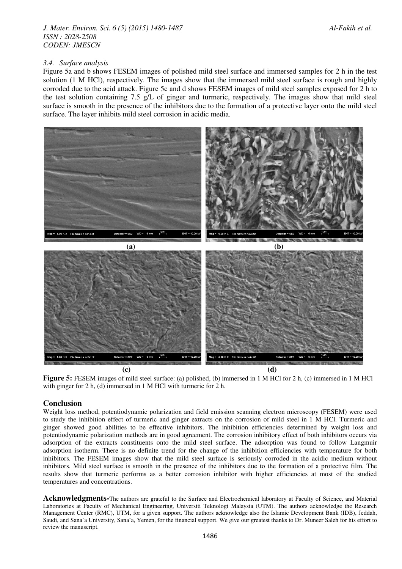# *J. Mater. Environ. Sci. 6 (5) (2015) 1480-1487 Al-Fakih et al. ISSN : 2028-2508 CODEN: JMESCN*

# *3.4. Surface analysis*

Figure 5a and b shows FESEM images of polished mild steel surface and immersed samples for 2 h in the test solution (1 M HCl), respectively. The images show that the immersed mild steel surface is rough and highly corroded due to the acid attack. Figure 5c and d shows FESEM images of mild steel samples exposed for 2 h to the test solution containing 7.5 g/L of ginger and turmeric, respectively. The images show that mild steel surface is smooth in the presence of the inhibitors due to the formation of a protective layer onto the mild steel surface. The layer inhibits mild steel corrosion in acidic media.



**Figure 5:** FESEM images of mild steel surface: (a) polished, (b) immersed in 1 M HCl for 2 h, (c) immersed in 1 M HCl with ginger for 2 h, (d) immersed in 1 M HCl with turmeric for 2 h.

# **Conclusion**

Weight loss method, potentiodynamic polarization and field emission scanning electron microscopy (FESEM) were used to study the inhibition effect of turmeric and ginger extracts on the corrosion of mild steel in 1 M HCl. Turmeric and ginger showed good abilities to be effective inhibitors. The inhibition efficiencies determined by weight loss and potentiodynamic polarization methods are in good agreement. The corrosion inhibitory effect of both inhibitors occurs via adsorption of the extracts constituents onto the mild steel surface. The adsorption was found to follow Langmuir adsorption isotherm. There is no definite trend for the change of the inhibition efficiencies with temperature for both inhibitors. The FESEM images show that the mild steel surface is seriously corroded in the acidic medium without inhibitors. Mild steel surface is smooth in the presence of the inhibitors due to the formation of a protective film. The results show that turmeric performs as a better corrosion inhibitor with higher efficiencies at most of the studied temperatures and concentrations.

Acknowledgments-The authors are grateful to the Surface and Electrochemical laboratory at Faculty of Science, and Material Laboratories at Faculty of Mechanical Engineering, Universiti Teknologi Malaysia (UTM). The authors acknowledge the Research Management Center (RMC), UTM, for a given support. The authors acknowledge also the Islamic Development Bank (IDB), Jeddah, Saudi, and Sana'a University, Sana'a, Yemen, for the financial support. We give our greatest thanks to Dr. Muneer Saleh for his effort to review the manuscript.